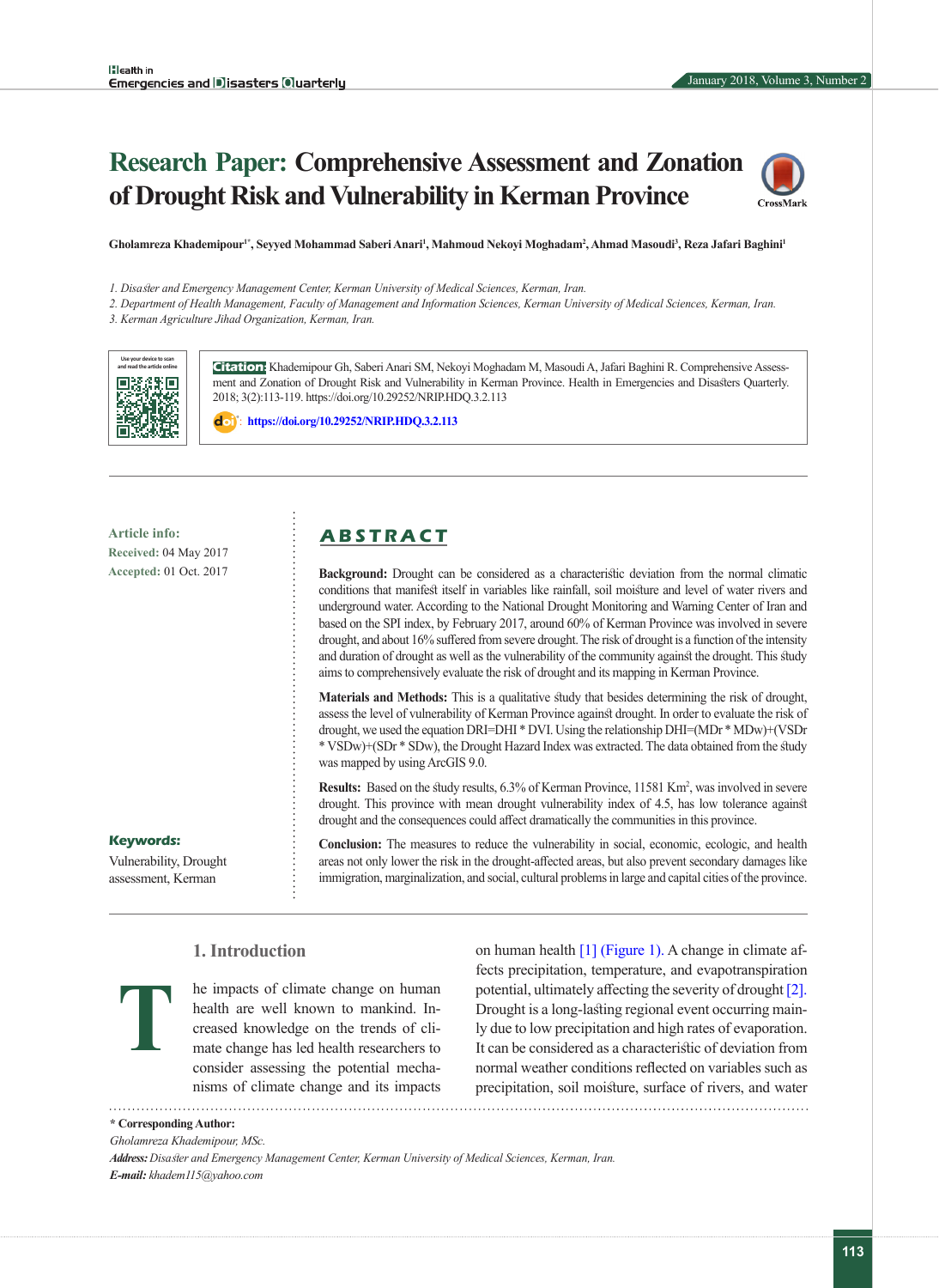# **Research Paper: Comprehensive Assessment and Zonation of Drought Risk and Vulnerability in Kerman Province**



Gholamreza Khademipour<sup>1\*</sup>, Seyyed Mohammad Saberi Anari<sup>1</sup>, Mahmoud Nekoyi Moghadam<sup>2</sup>, Ahmad Masoudi<sup>3</sup>, Reza Jafari Baghini<sup>1</sup>

*1. Disaster and Emergency Management Center, Kerman University of Medical Sciences, Kerman, Iran.* 

*2. Department of Health Management, Faculty of Management and Information Sciences, Kerman University of Medical Sciences, Kerman, Iran.*

*3. Kerman Agriculture Jihad Organization, Kerman, Iran.*



**Citation:** Khademipour Gh, Saberi Anari SM, Nekoyi Moghadam M, Masoudi A, Jafari Baghini R. Comprehensive Assessment and Zonation of Drought Risk and Vulnerability in Kerman Province. Health in Emergencies and Disasters Quarterly. 2018; 3(2):113-119. https://doi.org/10.29252/NRIP.HDQ.3.2.113

: **<https://doi.org/10.29252/NRIP.HDQ.3.2.113>**

**Received:** 04 May 2017 **Accepted:** 01 Oct. 2017

## **Article info: A B S T R A C T**

**Background:** Drought can be considered as a characteristic deviation from the normal climatic conditions that manifest itself in variables like rainfall, soil moisture and level of water rivers and underground water. According to the National Drought Monitoring and Warning Center of Iran and based on the SPI index, by February 2017, around 60% of Kerman Province was involved in severe drought, and about 16% suffered from severe drought. The risk of drought is a function of the intensity and duration of drought as well as the vulnerability of the community against the drought. This study aims to comprehensively evaluate the risk of drought and its mapping in Kerman Province.

**Materials and Methods:** This is a qualitative study that besides determining the risk of drought, assess the level of vulnerability of Kerman Province against drought. In order to evaluate the risk of drought, we used the equation DRI=DHI \* DVI. Using the relationship DHI=(MDr \* MDw)+(VSDr \* VSDw)+(SDr \* SDw), the Drought Hazard Index was extracted. The data obtained from the study was mapped by using ArcGIS 9.0.

**Results:** Based on the study results, 6.3% of Kerman Province, 11581 Km<sup>2</sup>, was involved in severe drought. This province with mean drought vulnerability index of 4.5, has low tolerance against drought and the consequences could affect dramatically the communities in this province.

**Conclusion:** The measures to reduce the vulnerability in social, economic, ecologic, and health areas not only lower the risk in the drought-affected areas, but also prevent secondary damages like immigration, marginalization, and social, cultural problems in large and capital cities of the province.

## **Keywords:**

**T**

Vulnerability, Drought assessment, Kerman

## **1. Introduction**

he impacts of climate change on human health are well known to mankind. Increased knowledge on the trends of climate change has led health researchers to consider assessing the potential mechanisms of climate change and its impacts 

on human health [\[1\]](#page-6-0) [\(Figure 1\). A](#page-1-0) change in climate affects precipitation, temperature, and evapotranspiration potential, ultimately affecting the severity of drought [\[2\].](#page-6-1) Drought is a long-lasting regional event occurring mainly due to low precipitation and high rates of evaporation. It can be considered as a characteristic of deviation from normal weather conditions reflected on variables such as precipitation, soil moisture, surface of rivers, and water 

**\* Corresponding Author:**

*Address: Disaster and Emergency Management Center, Kerman University of Medical Sciences, Kerman, Iran. E-mail: khadem115@yahoo.com*

*Gholamreza Khademipour, MSc.*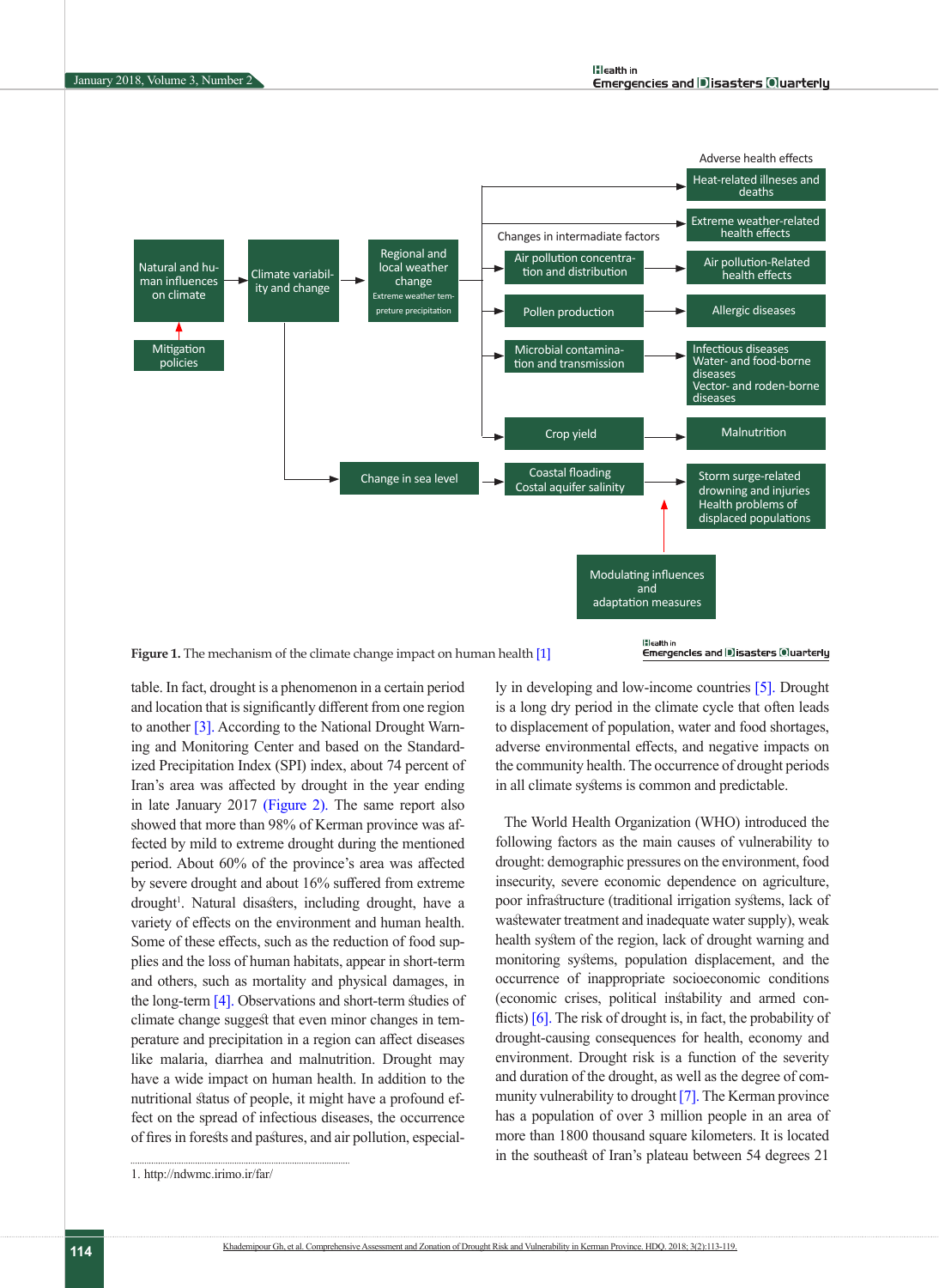

<span id="page-1-0"></span>**Figure 1.** The mechanism of the climate change impact on human health [\[1\]](#page-6-0)

#### Emergencles and DIsasters Oluarterly

table. In fact, drought is a phenomenon in a certain period and location that is significantly different from one region to another [\[3\].](#page-6-2) According to the National Drought Warning and Monitoring Center and based on the Standardized Precipitation Index (SPI) index, about 74 percent of Iran's area was affected by drought in the year ending in late January 2017 (Figure 2). The same report also showed that more than 98% of Kerman province was affected by mild to extreme drought during the mentioned period. About 60% of the province's area was affected by severe drought and about 16% suffered from extreme drought<sup>1</sup>. Natural disasters, including drought, have a variety of effects on the environment and human health. Some of these effects, such as the reduction of food supplies and the loss of human habitats, appear in short-term and others, such as mortality and physical damages, in the long-term [4]. Observations and short-term studies of climate change suggest that even minor changes in temperature and precipitation in a region can affect diseases like malaria, diarrhea and malnutrition. Drought may have a wide impact on human health. In addition to the nutritional status of people, it might have a profound effect on the spread of infectious diseases, the occurrence of fires in forests and pastures, and air pollution, especially in developing and low-income countries [5]. Drought is a long dry period in the climate cycle that often leads to displacement of population, water and food shortages, adverse environmental effects, and negative impacts on the community health. The occurrence of drought periods in all climate systems is common and predictable.

The World Health Organization (WHO) introduced the following factors as the main causes of vulnerability to drought: demographic pressures on the environment, food insecurity, severe economic dependence on agriculture, poor infrastructure (traditional irrigation systems, lack of wastewater treatment and inadequate water supply), weak health system of the region, lack of drought warning and monitoring systems, population displacement, and the occurrence of inappropriate socioeconomic conditions (economic crises, political instability and armed con-flicts) [\[6\].](#page-6-3) The risk of drought is, in fact, the probability of drought-causing consequences for health, economy and environment. Drought risk is a function of the severity and duration of the drought, as well as the degree of community vulnerability to drought [\[7\].](#page-6-4) The Kerman province has a population of over 3 million people in an area of more than 1800 thousand square kilometers. It is located in the southeast of Iran's plateau between 54 degrees 21

<sup>1.</sup> http://ndwmc.irimo.ir/far/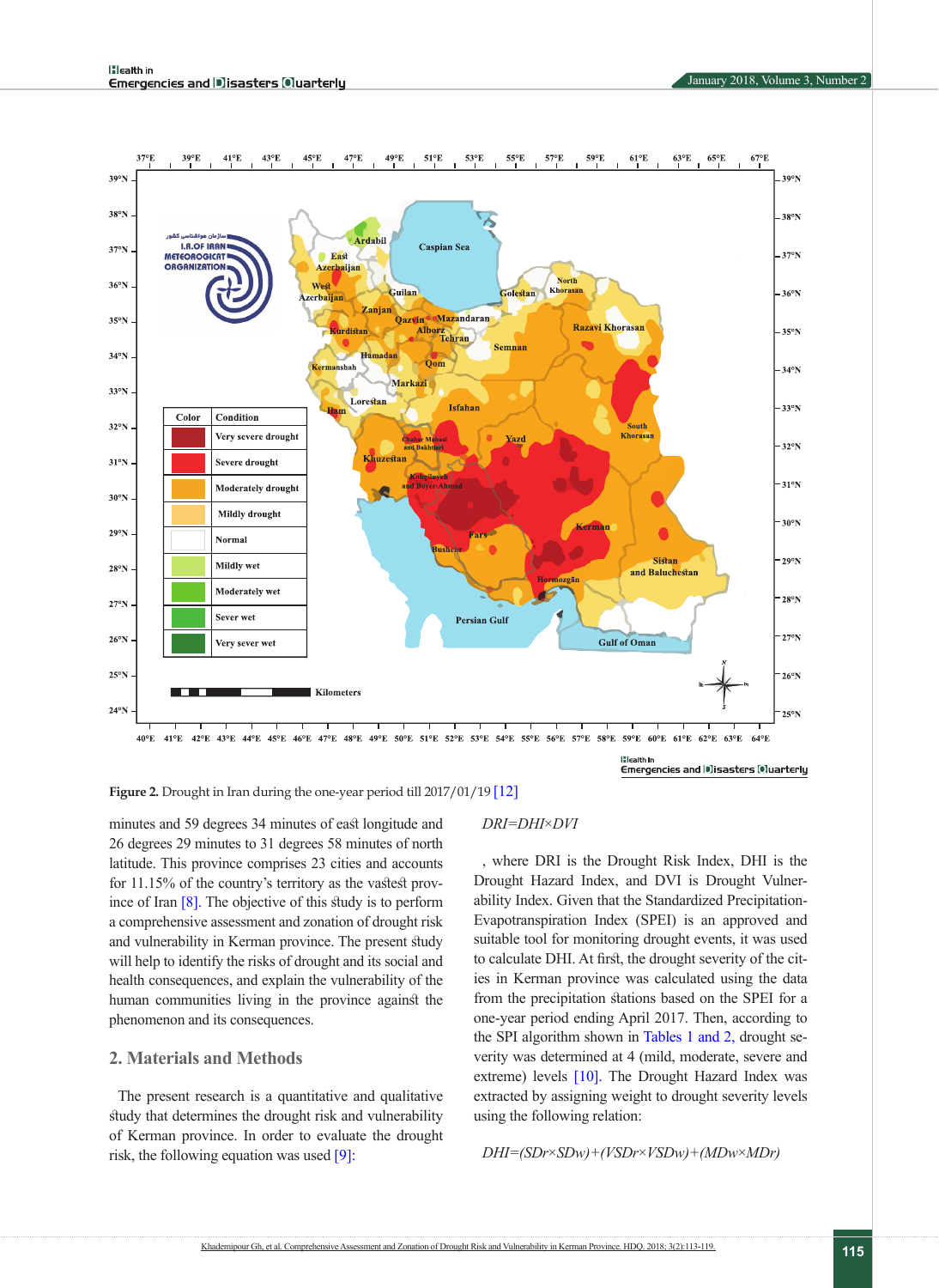

**Figure 2.** Drought in Iran during the one-year period till 2017/01/19 [12]

minutes and 59 degrees 34 minutes of east longitude and 26 degrees 29 minutes to 31 degrees 58 minutes of north latitude. This province comprises 23 cities and accounts for 11.15% of the country's territory as the vastest province of Ira[n \[8\].](#page-6-5) The objective of this study is to perform a comprehensive assessment and zonation of drought risk and vulnerability in Kerman province. The present study will help to identify the risks of drought and its social and health consequences, and explain the vulnerability of the human communities living in the province against the phenomenon and its consequences.

## **2. Materials and Methods**

The present research is a quantitative and qualitative study that determines the drought risk and vulnerability of Kerman province. In order to evaluate the drought risk, the following equation was used [\[9\]:](#page-6-6)

#### *DRI=DHI*×*DVI*

, where DRI is the Drought Risk Index, DHI is the Drought Hazard Index, and DVI is Drought Vulnerability Index. Given that the Standardized Precipitation-Evapotranspiration Index (SPEI) is an approved and suitable tool for monitoring drought events, it was used to calculate DHI. At first, the drought severity of the cities in Kerman province was calculated using the data from the precipitation stations based on the SPEI for a one-year period ending April 2017. Then, according to the SPI algorithm shown in [Tables 1](#page-3-0) [and 2,](#page-3-1) drought severity was determined at 4 (mild, moderate, severe and extreme) levels [\[10\].](#page-6-7) The Drought Hazard Index was extracted by assigning weight to drought severity levels using the following relation:

#### *DHI=(SDr*×*SDw)+(VSDr*×*VSDw)+(MDw*×*MDr)*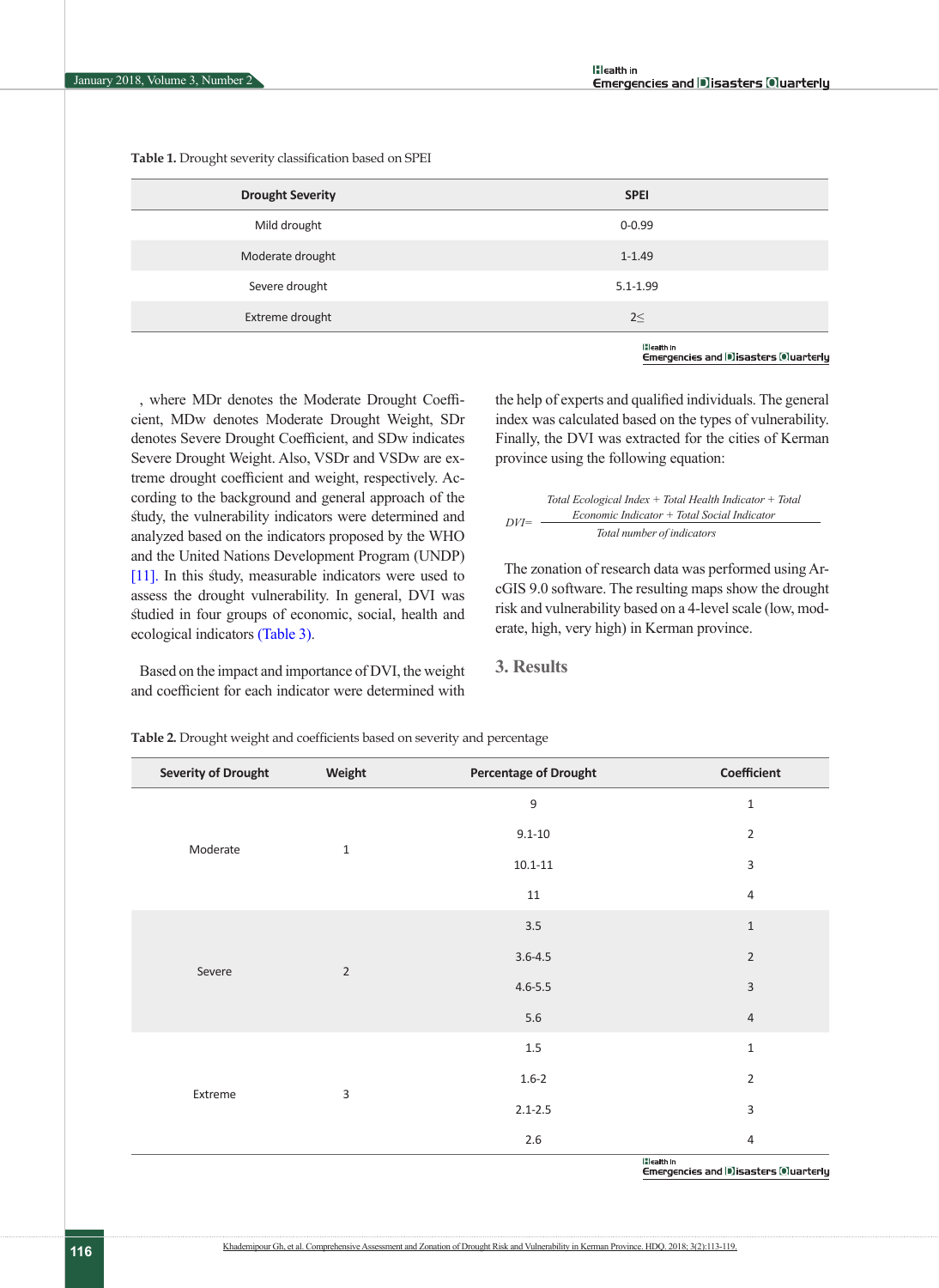<span id="page-3-0"></span>**Table 1.** Drought severity classification based on SPEI

| <b>Drought Severity</b> | <b>SPEI</b>      |
|-------------------------|------------------|
| Mild drought            | $0 - 0.99$       |
| Moderate drought        | $1 - 1.49$       |
| Severe drought          | $5.1 - 1.99$     |
| Extreme drought         | $2 \leq$         |
|                         | <b>Eleath In</b> |

Emergencles and Disasters Ouarterly

, where MDr denotes the Moderate Drought Coefficient, MDw denotes Moderate Drought Weight, SDr denotes Severe Drought Coefficient, and SDw indicates Severe Drought Weight. Also, VSDr and VSDw are extreme drought coefficient and weight, respectively. According to the background and general approach of the study, the vulnerability indicators were determined and analyzed based on the indicators proposed by the WHO and the United Nations Development Program (UNDP) [\[11\].](#page-6-8) In this study, measurable indicators were used to assess the drought vulnerability. In general, DVI was studied in four groups of economic, social, health and ecological indicator[s \(Table 3\)](#page-4-0).

Based on the impact and importance of DVI, the weight and coefficient for each indicator were determined with

the help of experts and qualified individuals. The general index was calculated based on the types of vulnerability. Finally, the DVI was extracted for the cities of Kerman province using the following equation:

*DVI= Total Ecological Index + Total Health Indicator + Total Economic Indicator + Total Social Indicator Total number of indicators*

The zonation of research data was performed using ArcGIS 9.0 software. The resulting maps show the drought risk and vulnerability based on a 4-level scale (low, moderate, high, very high) in Kerman province.

**3. Results**

| Weight | <b>Percentage of Drought</b>                   | Coefficient               |
|--------|------------------------------------------------|---------------------------|
|        | 9                                              | $1\,$                     |
|        | $9.1 - 10$                                     | $\overline{2}$            |
|        | $10.1 - 11$                                    | $\ensuremath{\mathsf{3}}$ |
|        | 11                                             | $\overline{4}$            |
|        | 3.5                                            | $1\,$                     |
|        | $3.6 - 4.5$                                    | $\sqrt{2}$                |
|        | $4.6 - 5.5$                                    | $\mathsf 3$               |
|        | 5.6                                            | $\sqrt{4}$                |
|        | $1.5\,$                                        | $\mathbf 1$               |
|        | $1.6 - 2$                                      | $\overline{2}$            |
|        | $2.1 - 2.5$                                    | $\mathsf 3$               |
|        | $2.6\,$                                        | $\overline{4}$            |
|        | $\mathbf{1}$<br>$\overline{2}$<br>$\mathsf{3}$ | <b>Iflestible</b>         |

<span id="page-3-1"></span>**Table 2.** Drought weight and coefficients based on severity and percentage

Emergencies and Disasters Ouarterly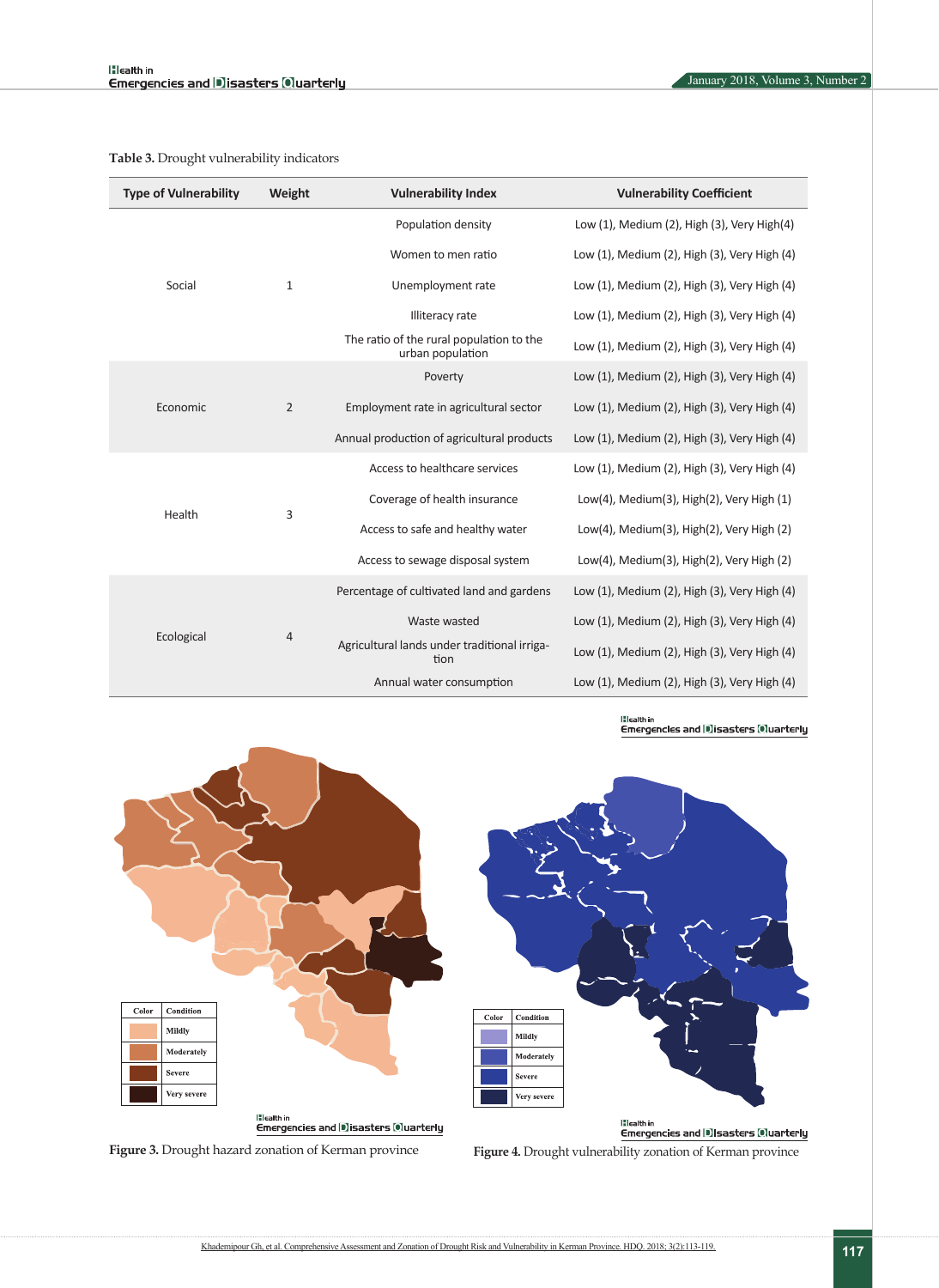| <b>Type of Vulnerability</b> | Weight | <b>Vulnerability Index</b>                                   | <b>Vulnerability Coefficient</b>             |  |  |
|------------------------------|--------|--------------------------------------------------------------|----------------------------------------------|--|--|
| Social<br>$\mathbf{1}$       |        | Population density                                           | Low (1), Medium (2), High (3), Very High(4)  |  |  |
|                              |        | Women to men ratio                                           | Low (1), Medium (2), High (3), Very High (4) |  |  |
|                              |        | Unemployment rate                                            | Low (1), Medium (2), High (3), Very High (4) |  |  |
|                              |        | Illiteracy rate                                              | Low (1), Medium (2), High (3), Very High (4) |  |  |
|                              |        | The ratio of the rural population to the<br>urban population | Low (1), Medium (2), High (3), Very High (4) |  |  |
| $\overline{2}$<br>Economic   |        | Poverty                                                      | Low (1), Medium (2), High (3), Very High (4) |  |  |
|                              |        | Employment rate in agricultural sector                       | Low (1), Medium (2), High (3), Very High (4) |  |  |
|                              |        | Annual production of agricultural products                   | Low (1), Medium (2), High (3), Very High (4) |  |  |
| 3<br>Health                  |        | Access to healthcare services                                | Low (1), Medium (2), High (3), Very High (4) |  |  |
|                              |        | Coverage of health insurance                                 | Low(4), Medium(3), High(2), Very High (1)    |  |  |
|                              |        | Access to safe and healthy water                             | Low(4), Medium(3), High(2), Very High (2)    |  |  |
|                              |        | Access to sewage disposal system                             | Low(4), Medium(3), High(2), Very High (2)    |  |  |
| Ecological<br>$\overline{4}$ |        | Percentage of cultivated land and gardens                    | Low (1), Medium (2), High (3), Very High (4) |  |  |
|                              |        | Waste wasted                                                 | Low (1), Medium (2), High (3), Very High (4) |  |  |
|                              |        | Agricultural lands under traditional irriga-<br>tion         | Low (1), Medium (2), High (3), Very High (4) |  |  |
|                              |        | Annual water consumption                                     | Low (1), Medium (2), High (3), Very High (4) |  |  |

<span id="page-4-0"></span>**Table 3.** Drought vulnerability indicators

## lilealth in<br>Emergencies and |D]isasters [O]uarterly



<span id="page-4-1"></span>**Figure 3.** Drought hazard zonation of Kerman province

<span id="page-4-2"></span>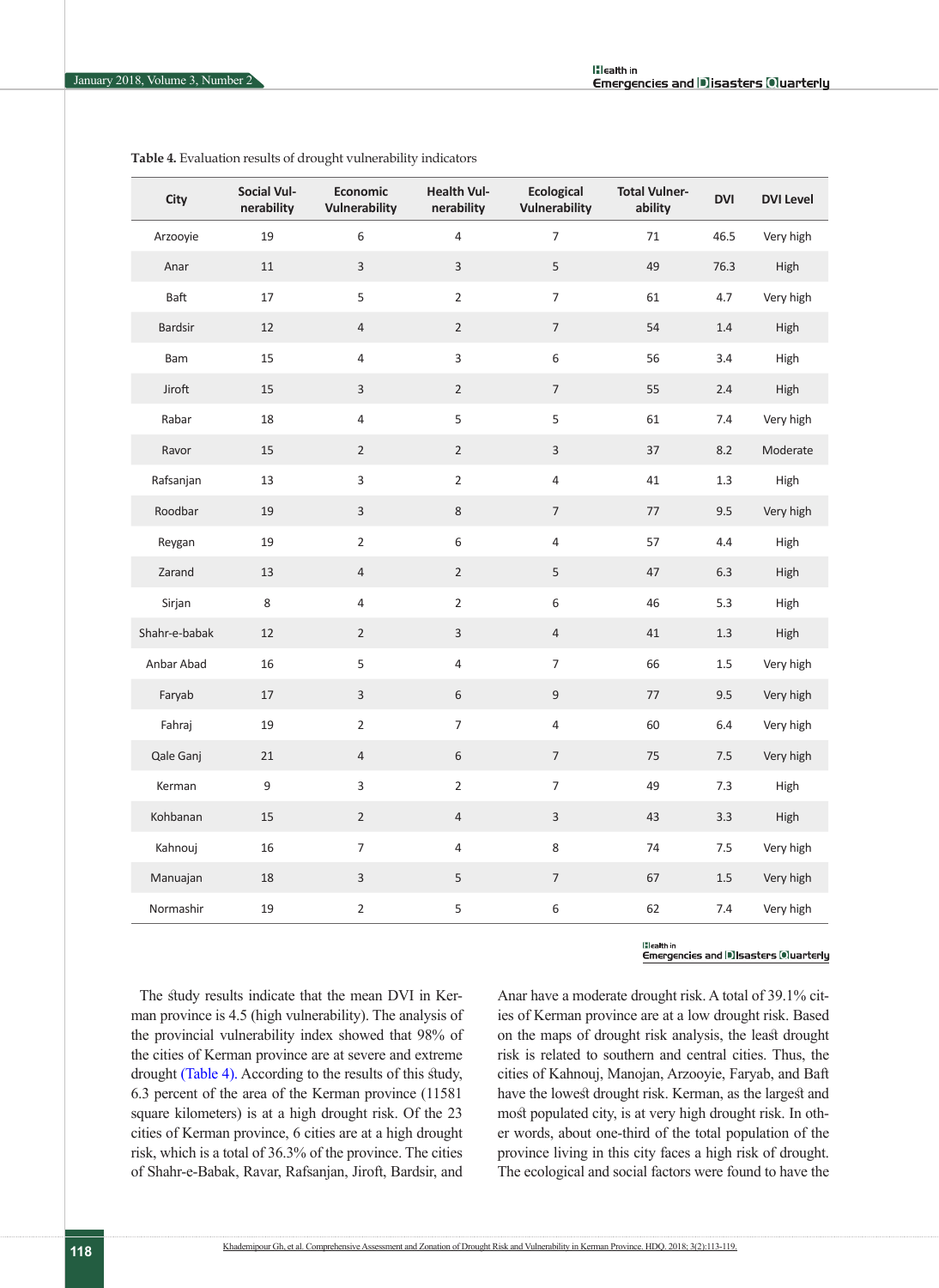| City           | <b>Social Vul-</b><br>nerability | Economic<br>Vulnerability | <b>Health Vul-</b><br>nerability | <b>Ecological</b><br><b>Vulnerability</b> | <b>Total Vulner-</b><br>ability | <b>DVI</b> | <b>DVI Level</b> |
|----------------|----------------------------------|---------------------------|----------------------------------|-------------------------------------------|---------------------------------|------------|------------------|
| Arzooyie       | 19                               | $\,6\,$                   | $\sqrt{4}$                       | $\overline{7}$                            | 71                              | 46.5       | Very high        |
| Anar           | 11                               | $\mathsf{3}$              | $\mathsf{3}$                     | $\sqrt{5}$                                | 49                              | 76.3       | High             |
| Baft           | 17                               | $\mathsf S$               | $\overline{2}$                   | $\overline{7}$                            | 61                              | 4.7        | Very high        |
| <b>Bardsir</b> | 12                               | $\overline{4}$            | $\overline{2}$                   | $\overline{7}$                            | 54                              | $1.4\,$    | High             |
| Bam            | 15                               | $\overline{4}$            | $\overline{3}$                   | $\,$ 6 $\,$                               | 56                              | 3.4        | High             |
| Jiroft         | 15                               | $\ensuremath{\mathsf{3}}$ | $\overline{2}$                   | $\overline{7}$                            | 55                              | $2.4\,$    | High             |
| Rabar          | 18                               | 4                         | 5                                | $\mathsf S$                               | 61                              | $7.4\,$    | Very high        |
| Ravor          | 15                               | $\sqrt{2}$                | $\overline{2}$                   | $\mathsf 3$                               | 37                              | $8.2\,$    | Moderate         |
| Rafsanjan      | 13                               | $\mathsf 3$               | $\overline{2}$                   | $\sqrt{4}$                                | 41                              | $1.3\,$    | High             |
| Roodbar        | 19                               | $\mathsf 3$               | 8                                | $\overline{7}$                            | 77                              | 9.5        | Very high        |
| Reygan         | 19                               | $\mathbf 2$               | $\boldsymbol{6}$                 | $\sqrt{4}$                                | 57                              | 4.4        | High             |
| Zarand         | 13                               | $\overline{4}$            | $\overline{2}$                   | $\sqrt{5}$                                | 47                              | $6.3\,$    | High             |
| Sirjan         | $\,8\,$                          | 4                         | $\overline{2}$                   | $\,$ 6 $\,$                               | 46                              | 5.3        | High             |
| Shahr-e-babak  | 12                               | $\overline{2}$            | $\overline{3}$                   | 4                                         | 41                              | $1.3\,$    | High             |
| Anbar Abad     | 16                               | $\sqrt{5}$                | 4                                | $\overline{7}$                            | 66                              | $1.5\,$    | Very high        |
| Faryab         | 17                               | $\mathbf{3}$              | $\,$ 6 $\,$                      | $\boldsymbol{9}$                          | 77                              | 9.5        | Very high        |
| Fahraj         | 19                               | $\mathbf 2$               | 7                                | $\sqrt{4}$                                | 60                              | $6.4\,$    | Very high        |
| Qale Ganj      | 21                               | $\sqrt{4}$                | $\,$ 6 $\,$                      | $\sqrt{ }$                                | 75                              | 7.5        | Very high        |
| Kerman         | $\boldsymbol{9}$                 | $\overline{3}$            | $\overline{2}$                   | $\overline{7}$                            | 49                              | 7.3        | High             |
| Kohbanan       | 15                               | $\overline{2}$            | $\overline{4}$                   | 3                                         | 43                              | 3.3        | High             |
| Kahnouj        | 16                               | $\overline{7}$            | 4                                | $\,8\,$                                   | 74                              | $7.5\,$    | Very high        |
| Manuajan       | 18                               | $\mathsf{3}$              | $\mathsf S$                      | $\overline{7}$                            | 67                              | $1.5\,$    | Very high        |
| Normashir      | 19                               | $\mathbf 2$               | 5                                | $\,$ 6 $\,$                               | 62                              | 7.4        | Very high        |

<span id="page-5-0"></span>**Table 4.** Evaluation results of drought vulnerability indicators

**H**ealth In Emergencies and DIsasters Oluarterly

The study results indicate that the mean DVI in Kerman province is 4.5 (high vulnerability). The analysis of the provincial vulnerability index showed that 98% of the cities of Kerman province are at severe and extreme drought [\(Table 4\).](#page-5-0) According to the results of this study, 6.3 percent of the area of the Kerman province (11581 square kilometers) is at a high drought risk. Of the 23 cities of Kerman province, 6 cities are at a high drought risk, which is a total of 36.3% of the province. The cities of Shahr-e-Babak, Ravar, Rafsanjan, Jiroft, Bardsir, and

Anar have a moderate drought risk. A total of 39.1% cities of Kerman province are at a low drought risk. Based on the maps of drought risk analysis, the least drought risk is related to southern and central cities. Thus, the cities of Kahnouj, Manojan, Arzooyie, Faryab, and Baft have the lowest drought risk. Kerman, as the largest and most populated city, is at very high drought risk. In other words, about one-third of the total population of the province living in this city faces a high risk of drought. The ecological and social factors were found to have the